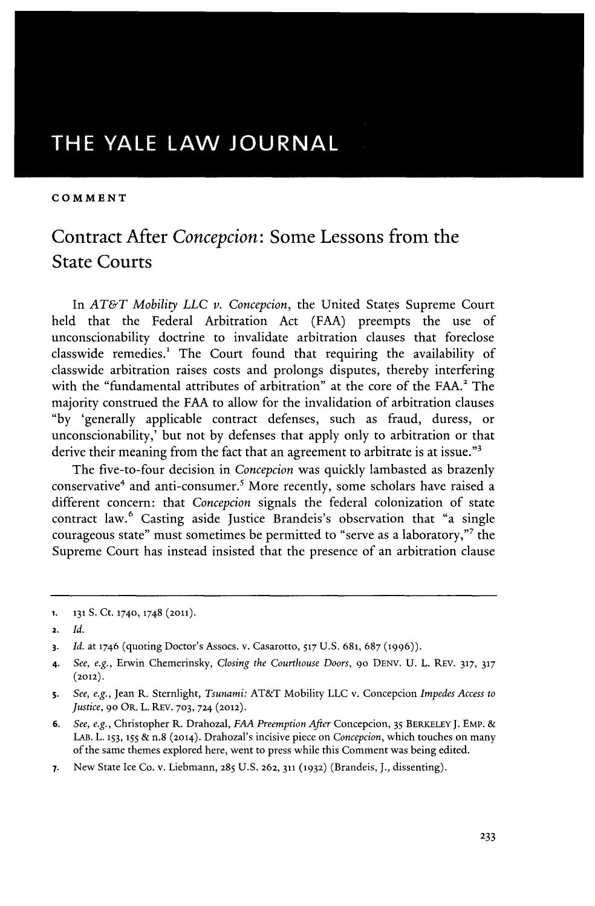# **THE YALE LAW JOURNAL**

#### **COMMENT**

## Contract After *Concepcion:* Some Lessons from the State Courts

In *AT&T Mobility LLC v. Concepcion,* the United States Supreme Court held that the Federal Arbitration Act (FAA) preempts the use of unconscionability doctrine to invalidate arbitration clauses that foreclose classwide remedies.' The Court found that requiring the availability of classwide arbitration raises costs and prolongs disputes, thereby interfering with the "fundamental attributes of arbitration" at the core of the FAA.<sup>2</sup> The majority construed the FAA to allow for the invalidation of arbitration clauses "by 'generally applicable contract defenses, such as fraud, duress, or unconscionability,' but not by defenses that apply only to arbitration or that derive their meaning from the fact that an agreement to arbitrate is at issue."<sup>3</sup>

The five-to-four decision in *Concepcion* was quickly lambasted as brazenly conservative4 and anti-consumer.5 More recently, some scholars have raised a different concern: that *Concepcion* signals the federal colonization of state contract law.<sup>6</sup> Casting aside Justice Brandeis's observation that "a single courageous state" must sometimes be permitted to "serve as a laboratory," 7 the Supreme Court has instead insisted that the presence of an arbitration clause

**<sup>1. 131</sup> S.** Ct. 174o, 1748 **(2011).**

<sup>2.</sup> *Id.*

**<sup>3.</sup>** *Id.* at 1746 (quoting Doctor's Assocs. v. Casarotto, **517** U.S. **681,** 687 **(1996)).**

<sup>4.</sup> *See, e.g.,* Erwin Chemerinsky, *Closing the Courthouse Doors,* **9o** DENY. U. L. REV. **317, 317 (2012).**

*S. See, e.g.,* Jean R. Sternlight, *Tsunami:* AT&T Mobility LLC v. Concepcion *Impedes Access to Justice,* **9o** OR. L. REV. **703,** 724 **(2012).**

**<sup>6.</sup>** *See, e.g.,* Christopher R. Drahozal, *FAA Preemption After* Concepcion, 35 BERKELEY J. **EMP. &** LAB. L. **153, 155 &** n.8 (2014). Drahozal's incisive piece on *Concepcion,* which touches on many of the same themes explored here, went to press while this Comment was being edited.

**<sup>7.</sup>** New State Ice Co. v. Liebmann, 285 U.S. 262, 311 (1932) (Brandeis, *J.,* dissenting).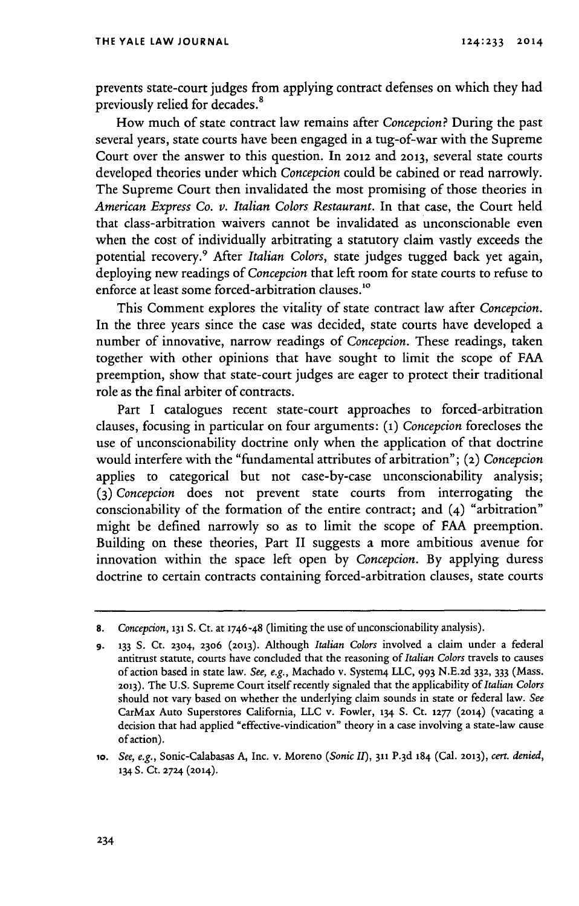prevents state-court judges from applying contract defenses on which they had previously relied for decades.<sup>8</sup>

How much of state contract law remains after *Concepcion?* During the past several years, state courts have been engaged in a tug-of-war with the Supreme Court over the answer to this question. In 2012 and **2013,** several state courts developed theories under which *Concepcion* could be cabined or read narrowly. The Supreme Court then invalidated the most promising of those theories in *American Express Co. v. Italian Colors Restaurant.* In that case, the Court held that class-arbitration waivers cannot be invalidated as unconscionable even when the cost of individually arbitrating a statutory claim vastly exceeds the potential recovery.9 After *Italian Colors,* state judges tugged back yet again, deploying new readings of *Concepcion* that left room for state courts to refuse to enforce at least some forced-arbitration clauses."0

This Comment explores the vitality of state contract law after *Concepcion.* In the three years since the case was decided, state courts have developed a number of innovative, narrow readings of *Concepcion.* These readings, taken together with other opinions that have sought to limit the scope of FAA preemption, show that state-court judges are eager to protect their traditional role as the final arbiter of contracts.

Part I catalogues recent state-court approaches to forced-arbitration clauses, focusing in particular on four arguments: **(1)** *Concepcion* forecloses the use of unconscionability doctrine only when the application of that doctrine would interfere with the "fundamental attributes of arbitration"; (2) *Concepcion* applies to categorical but not case-by-case unconscionability analysis; **(3)** *Concepcion* does not prevent state courts from interrogating the conscionability of the formation of the entire contract; and (4) "arbitration" might be defined narrowly so as to limit the scope of FAA preemption. Building on these theories, Part II suggests a more ambitious avenue for innovation within the space left open by *Concepcion.* By applying duress doctrine to certain contracts containing forced-arbitration clauses, state courts

**<sup>8.</sup>** *Concepcion,* **131 S.** Ct. at 1746-48 (limiting the use ofunconscionability analysis).

**<sup>9.</sup> 133** S. Ct. 2304, **2306 (2013).** Although *Italian Colors* involved a claim under a federal antitrust statute, courts have concluded that the reasoning of *Italian Colors* travels to causes of action based in state law. *See, e.g.,* Machado v. System4 LLC, 993 N.E.2d **332,** 333 (Mass. **2013).** The U.S. Supreme Court itself recently signaled that the applicability of *Italian Colors* should not vary based on whether the underlying claim sounds in state or federal law. *See* CarMax Auto Superstores California, LLC v. Fowler, 134 S. Ct. **1277 (2014)** (vacating a decision that had applied "effective-vindication" theory in a case involving a state-law cause of action).

*lo. See, e.g.,* Sonic-Calabasas A, Inc. v. Moreno *(Sonic I/),* **311 P.3d** 184 (Cal. **2013),** *cert. denied,* **<sup>134</sup>**S. Ct. **2724 (2014).**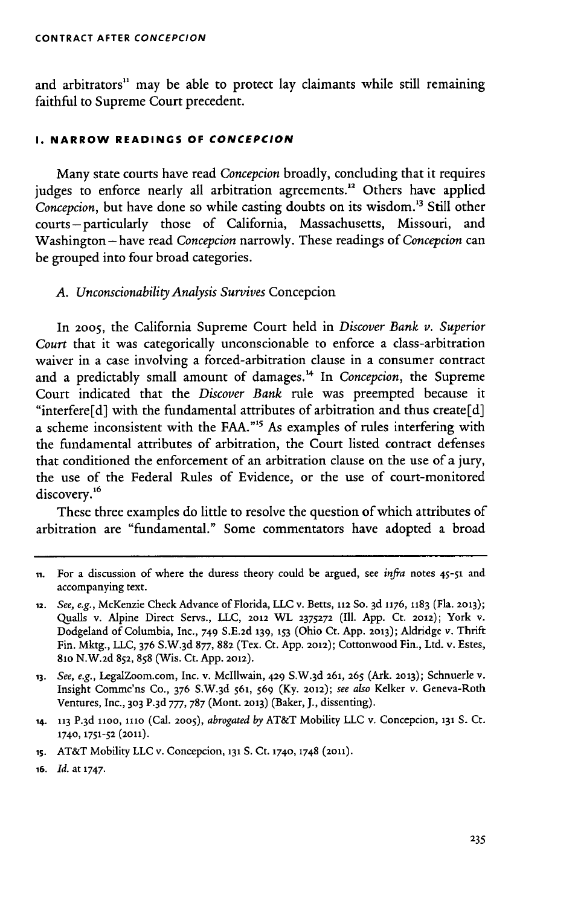and arbitrators" may be able to protect lay claimants while still remaining faithful to Supreme Court precedent.

#### **I. NARROW READINGS OF CONCEPCION**

Many state courts have read *Concepcion* broadly, concluding that it requires judges to enforce nearly all arbitration agreements.<sup>12</sup> Others have applied *Concepcion*, but have done so while casting doubts on its wisdom.<sup>13</sup> Still other courts -particularly those of California, Massachusetts, Missouri, and Washington -have read *Concepcion* narrowly. These readings of *Concepcion* can be grouped into four broad categories.

#### *A. Unconscionability Analysis Survives* Concepcion

In **2005,** the California Supreme Court held in *Discover Bank v. Superior Court* that it was categorically unconscionable to enforce a class-arbitration waiver in a case involving a forced-arbitration clause in a consumer contract and a predictably small amount of damages.'4 In *Concepcion,* the Supreme Court indicated that the *Discover Bank* rule was preempted because it "interfere[d] with the fundamental attributes of arbitration and thus create[d] a scheme inconsistent with the FAA."<sup>15</sup> As examples of rules interfering with the fundamental attributes of arbitration, the Court listed contract defenses that conditioned the enforcement of an arbitration clause on the use of a jury, the use of the Federal Rules of Evidence, or the use of court-monitored discovery.' 6

These three examples do little to resolve the question of which attributes of arbitration are "fundamental." Some commentators have adopted a broad

**ii.** For a discussion of where the duress theory could be argued, see *infra* notes 45-51 and accompanying text.

**<sup>12.</sup>** *See, e.g., McKenzie Check Advance of Florida, LLC v. Betts, 112 So. 3d 1176, 1183 (Fla. 2013)*; Quails v. Alpine Direct Servs., LLC, **2012** WL **2375272** (Ill. App. Ct. 2012); York v. Dodgeland of Columbia, Inc., 749 S.E.2d **139, 153** (Ohio Ct. App. **2013);** Aldridge v. Thrift Fin. Mktg., LLC, 376 S.W. 3d 877, **882** (Tex. Ct. App. **2012);** Cottonwood Fin., Ltd. v. Estes, 81o N.W.2d 852, 858 (Wis. Ct. App. **2012).**

**<sup>13.</sup>** *See, e.g.,* LegalZoom.com, Inc. v. Mclllwain, **429** S.W.3 d **261, 265** (Ark. **2013);** Schnuerle v. Insight Commc'ns Co., 376 S.W.3 d 561, 569 (Ky. 2012); *see also* Kelker v. Geneva-Roth Ventures, Inc., **303 P.3d** 777, 787 (Mont. **2013)** (Baker, J., dissenting).

**<sup>14. 113</sup>** P. <sup>3</sup> d **11oo, 111o** (Cal. **2005),** *abrogated* **by** AT&T Mobility LLC v. Concepcion, **131 S. Ct. 1740, 1751-52** (2011).

**is.** AT&T Mobility LLC v. Concepcion, **131** S. Ct. **1740,** 1748 (2011).

**<sup>16.</sup>** *Id.* at **1747.**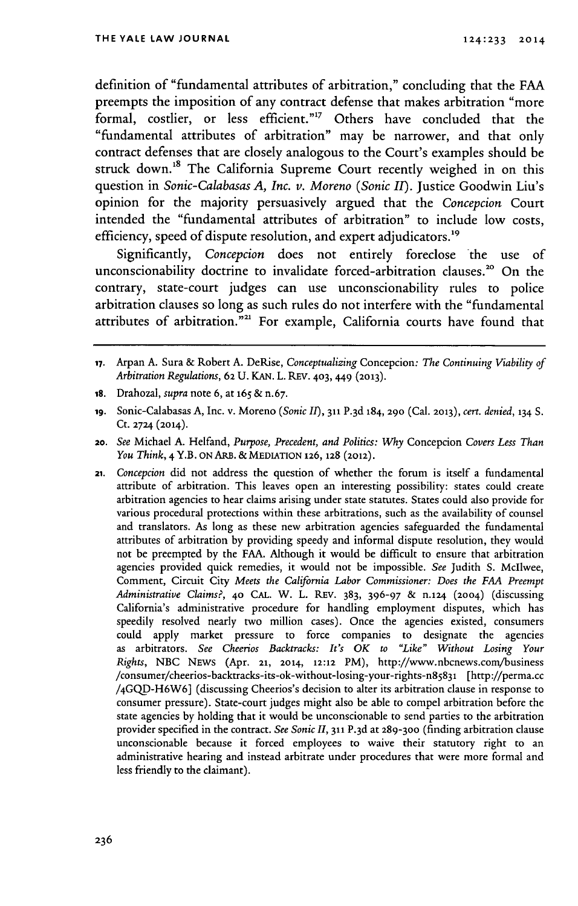definition of "fundamental attributes of arbitration," concluding that the **FAA** preempts the imposition of any contract defense that makes arbitration "more formal, costlier, or less efficient."<sup>17</sup> Others have concluded that the "fundamental attributes of arbitration" may be narrower, and that only contract defenses that are closely analogous to the Court's examples should be struck down.<sup>18</sup> The California Supreme Court recently weighed in on this question in *Sonic-Calabasas A, Inc. v. Moreno (Sonic II).* Justice Goodwin Liu's opinion for the majority persuasively argued that the *Concepcion* Court intended the "fundamental attributes of arbitration" to include low costs, efficiency, speed of dispute resolution, and expert adjudicators.<sup>19</sup>

Significantly, *Concepcion* does not entirely foreclose the use of unconscionability doctrine to invalidate forced-arbitration clauses.<sup>20</sup> On the contrary, state-court judges can use unconscionability rules to police arbitration clauses so long as such rules do not interfere with the "fundamental attributes of arbitration.<sup>"21</sup> For example, California courts have found that

18. Drahozal, *supra* note 6, at 165 & n.67.

**<sup>17.</sup>** Arpan **A.** Sura & Robert A. DeRise, *Conceptualizing* Concepcion: *The Continuing Viability of Arbitration Regulations,* 62 **U.** KAN. L. REv. 403, 449 **(2013).**

**<sup>19.</sup>** Sonic-Calabasas A, Inc. v. Moreno *(Sonic II),* **311** P.3 d 184, 290 (Cal. 2013), *cert. denied,* **134** S. Ct. 2724 **(2014).**

*<sup>20.</sup> See* Michael A. Helfand, *Purpose, Precedent, and Politics: Why* Concepcion *Covers Less Than You Think,* 4 Y.B. **ON** ARB. & MEDIATION **126, 128** (2012).

<sup>21.</sup> *Concepcion* did not address the question of whether the forum is itself a fundamental attribute of arbitration. This leaves open an interesting possibility: states could create arbitration agencies to hear claims arising under state statutes. States could also provide for various procedural protections within these arbitrations, such as the availability of counsel and translators. As long as these new arbitration agencies safeguarded the fundamental attributes of arbitration by providing speedy and informal dispute resolution, they would not be preempted by the FAA. Although it would be difficult to ensure that arbitration agencies provided quick remedies, it would not be impossible. *See* Judith S. McIlwee, Comment, Circuit City *Meets the California Labor Commissioner: Does the FAA Preempt Administrative Claims?,* 40 CAL. W. L. REv. 383, 396-97 & n.124 (2004) (discussing California's administrative procedure for handling employment disputes, which has speedily resolved nearly two million cases). Once the agencies existed, consumers could apply market pressure to force companies to designate the agencies as arbitrators. *See Cheerios Backtracks: It's OK to "Like" Without Losing Your Rights,* NBC NEWS (Apr. **21, 2014,** 12:12 PM), http://www.nbcnews.com/business /consumer/cheerios-backtracks-its-ok-without-losing-your-rights-n85831 [http://perma.cc /4GQD-H6W6] (discussing Cheerios's decision to alter its arbitration clause in response to consumer pressure). State-court judges might also be able to compel arbitration before the state agencies by holding that it would be unconscionable to send parties to the arbitration provider specified in the contract. See Sonic II, 311 P.3d at 289-300 (finding arbitration clause unconscionable because it forced employees to waive their statutory right to an administrative hearing and instead arbitrate under procedures that were more formal and less friendly to the claimant).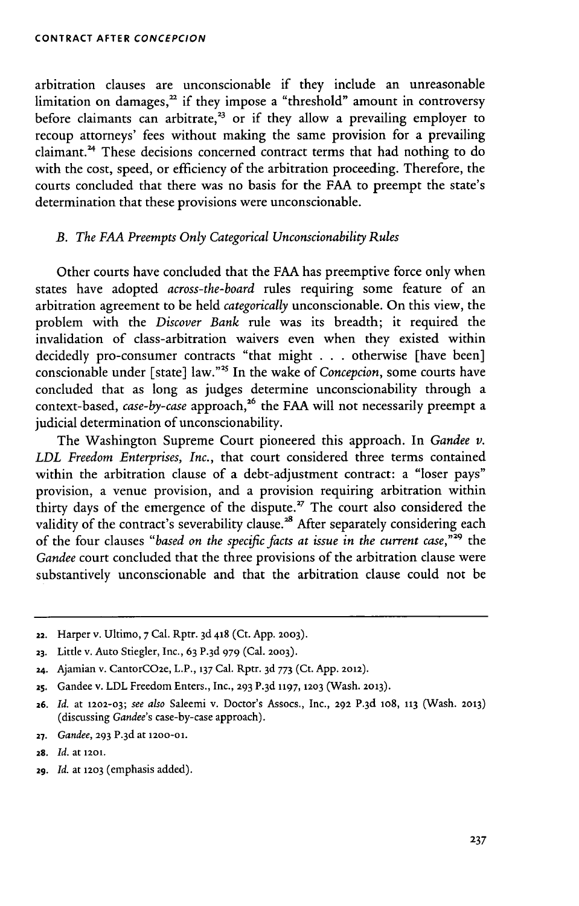arbitration clauses are unconscionable if they include an unreasonable limitation on damages,<sup>22</sup> if they impose a "threshold" amount in controversy before claimants can arbitrate,<sup>23</sup> or if they allow a prevailing employer to recoup attorneys' fees without making the same provision for a prevailing claimant.<sup>24</sup> These decisions concerned contract terms that had nothing to do with the cost, speed, or efficiency of the arbitration proceeding. Therefore, the courts concluded that there was no basis for the FAA to preempt the state's determination that these provisions were unconscionable.

### *B. The FAA Preempts Only Categorical Unconscionability Rules*

Other courts have concluded that the FAA has preemptive force only when states have adopted *across-the-board* rules requiring some feature of an arbitration agreement to be held *categorically* unconscionable. On this view, the problem with the *Discover Bank* rule was its breadth; it required the invalidation of class-arbitration waivers even when they existed within decidedly pro-consumer contracts "that might . . . otherwise [have been] conscionable under [state] law."<sup>25</sup> In the wake of *Concepcion*, some courts have concluded that as long as judges determine unconscionability through a context-based, *case-by-case* approach,<sup>26</sup> the FAA will not necessarily preempt a judicial determination of unconscionability.

The Washington Supreme Court pioneered this approach. In *Gandee v. LDL Freedom Enterprises, Inc.,* that court considered three terms contained within the arbitration clause of a debt-adjustment contract: a "loser pays" provision, a venue provision, and a provision requiring arbitration within thirty days of the emergence of the dispute.<sup> $27$ </sup> The court also considered the validity of the contract's severability clause.<sup>28</sup> After separately considering each of the four clauses *"based on the specific facts at issue in the current case,"29* the *Gandee* court concluded that the three provisions of the arbitration clause were substantively unconscionable and that the arbitration clause could not be

- 22. Harper v. Ultimo, **7** Cal. Rptr. **3d** 418 (Ct. App. **2003).**
- **23.** Little v. Auto Stiegler, Inc., 63 P. 3d 979 (Cal. **2003).**
- 24. Ajamian v. CantorCO2e, L.P., **137** Cal. Rptr. 3d **773** (Ct. App. **2012).**
- **25.** Gandee v. LDL Freedom Enters., Inc., **293** P. <sup>3</sup> d **1197, 1203** (Wash. **2013).**

- **27.** *Gandee,* **293** P.3 d at **1200-01.**
- **28.** *Id.* at **1201.**
- 29. *Id.* at **1203** (emphasis added).

**<sup>26.</sup>** *Id.* at **1202-03;** *see also* Saleemi v. Doctor's Assocs., Inc., **292** P. 3d lo8, **113** (Wash. **2013)** (discussing *Gandee's* case-by-case approach).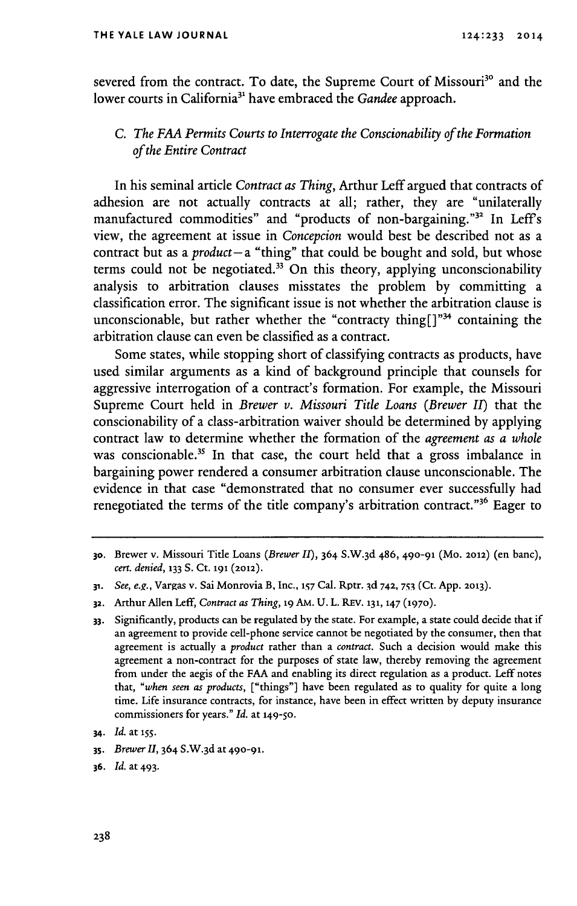severed from the contract. To date, the Supreme Court of Missouri<sup>30</sup> and the lower courts in California<sup>31</sup> have embraced the *Gandee* approach.

## *C. The FAA Permits Courts to Interrogate the Conscionability of the Formation of the Entire Contract*

In his seminal article *Contract as Thing,* Arthur Leff argued that contracts of adhesion are not actually contracts at all; rather, they are "unilaterally manufactured commodities" and "products of non-bargaining."<sup>32</sup> In Leff's view, the agreement at issue in *Concepcion* would best be described not as a contract but as a *product-* a "thing" that could be bought and sold, but whose terms could not be negotiated.33 **On** this theory, applying unconscionability analysis to arbitration clauses misstates the problem **by** committing a classification error. The significant issue is not whether the arbitration clause is unconscionable, but rather whether the "contracty thing $[ ]^{n_{34}}$  containing the arbitration clause can even be classified as a contract.

Some states, while stopping short of classifying contracts as products, have used similar arguments as a kind of background principle that counsels for aggressive interrogation of a contract's formation. For example, the Missouri Supreme Court held in *Brewer v. Missouri Title Loans (Brewer II)* that the conscionability of a class-arbitration waiver should be determined **by** applying contract law to determine whether the formation of the *agreement as a whole* was conscionable.<sup>35</sup> In that case, the court held that a gross imbalance in bargaining power rendered a consumer arbitration clause unconscionable. The evidence in that case "demonstrated that no consumer ever successfully had renegotiated the terms of the title company's arbitration contract."<sup>36</sup> Eager to

**35.** *Brewer I,* 364 S.W.3 d at **490-91.**

**<sup>30.</sup>** Brewer v. Missouri Title Loans *(Brewer II),* **364 S.W. 3d 486, 490-91** (Mo. **2012)** (en banc), *cert. denied,* **133 S.** Ct. **191 (2012).**

**<sup>31.</sup>** *See, e.g.,* Vargas v. Sai Monrovia B, Inc., **157** Cal. Rptr. **3d 742, 753 (Ct. App. 2013).**

**<sup>32.</sup>** Arthur Allen Leff, *Contract as Thing,* **19** AM. **U.** L. **REV. 131, 147 (1970).**

**<sup>33.</sup>** Significantly, products can be regulated **by** the state. For example, a state could decide that if an agreement to provide cell-phone service cannot be negotiated **by** the consumer, then that agreement is actually a *product* rather than a *contract.* Such a decision would make this agreement a non-contract for the purposes of state law, thereby removing the agreement from under the aegis of the **FAA** and enabling its direct regulation as a product. Leff notes that, *"when seen as products,* ["things"] have been regulated as to quality for quite a long time. Life insurance contracts, for instance, have been in effect written **by** deputy insurance commissioners for years." *Id.* at **149-50.**

*<sup>34.</sup> Id.* at **155.**

**<sup>36.</sup>** *Id.* at 493.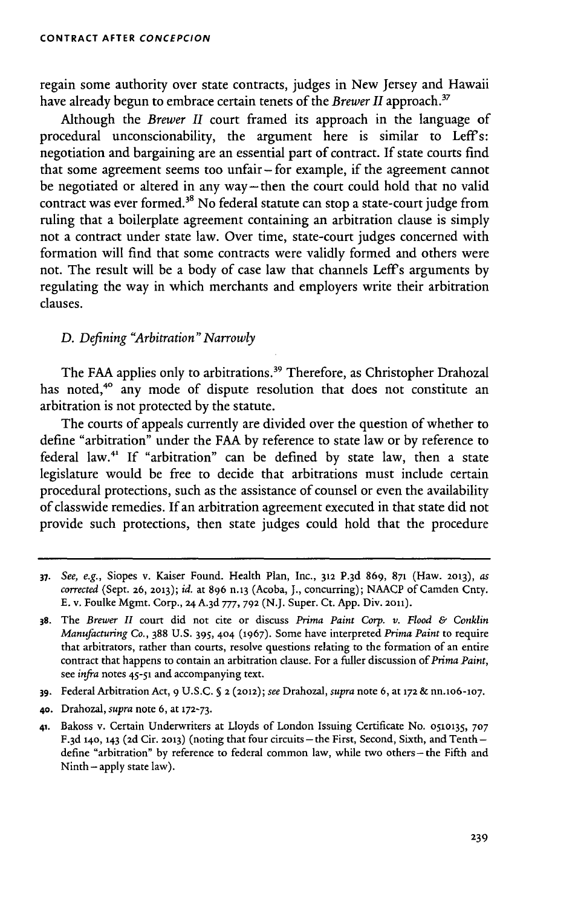regain some authority over state contracts, judges in New Jersey and Hawaii have already begun to embrace certain tenets of the *Brewer II* approach.<sup>37</sup>

Although the *Brewer II* court framed its approach in the language of procedural unconscionability, the argument here is similar to Leff's: negotiation and bargaining are an essential part of contract. If state courts find that some agreement seems too unfair - for example, if the agreement cannot be negotiated or altered in any way-then the court could hold that no valid contract was ever formed.<sup>38</sup> No federal statute can stop a state-court judge from ruling that a boilerplate agreement containing an arbitration clause is simply not a contract under state law. Over time, state-court judges concerned with formation will find that some contracts were validly formed and others were not. The result will be a body of case law that channels Leff's arguments by regulating the way in which merchants and employers write their arbitration clauses.

### *D. Defining "Arbitration" Narrowly*

The FAA applies only to arbitrations.<sup>39</sup> Therefore, as Christopher Drahozal has noted,<sup>40</sup> any mode of dispute resolution that does not constitute an arbitration is not protected by the statute.

The courts of appeals currently are divided over the question of whether to define "arbitration" under the FAA by reference to state law or **by** reference to federal law.41 If "arbitration" can be defined by state law, then a state legislature would be free to decide that arbitrations must include certain procedural protections, such as the assistance of counsel or even the availability of classwide remedies. If an arbitration agreement executed in that state did not provide such protections, then state judges could hold that the procedure

**<sup>37.</sup>** *See, e.g.,* Siopes v. Kaiser Found. Health Plan, Inc., **312** P. 3d 869, **871** (Haw. **2013),** *as corrected* (Sept. **26, 2013);** *id.* at 896 n.13 (Acoba, J., concurring); NAACP of Camden Cnty. **E.** v. Foulke Mgmt. Corp., 24A.3d777, **792 (N.J.** Super. Ct. App. Div. 2011).

**<sup>38.</sup>** The *Brewer II* court did not cite or discuss *Prima Paint Corp. v. Flood & Conklin Manufacturing* Co., 388 U.S. 39S, 404 (1967). Some have interpreted *Prima Paint* to require that arbitrators, rather than courts, resolve questions relating to the formation of an entire contract that happens to contain an arbitration clause. For a fuller discussion of *Prima Paint,* see *infra* notes 45-51 and accompanying text.

**<sup>39.</sup>** Federal Arbitration Act, 9 U.S.C. **§** 2 (2012); *see* Drahozal, *supra* note 6, at **172** & nn.lo6-1o7.

**<sup>40.</sup>** Drahozal, *supra* note 6, at **172-73.**

<sup>41.</sup> Bakoss v. Certain Underwriters at Lloyds of London Issuing Certificate No. **0510135, 707** F.3d 140, 143 (2d Cir. 2013) (noting that four circuits - the First, Second, Sixth, and Tenth define "arbitration" by reference to federal common law, while two others -- the Fifth and Ninth - apply state law).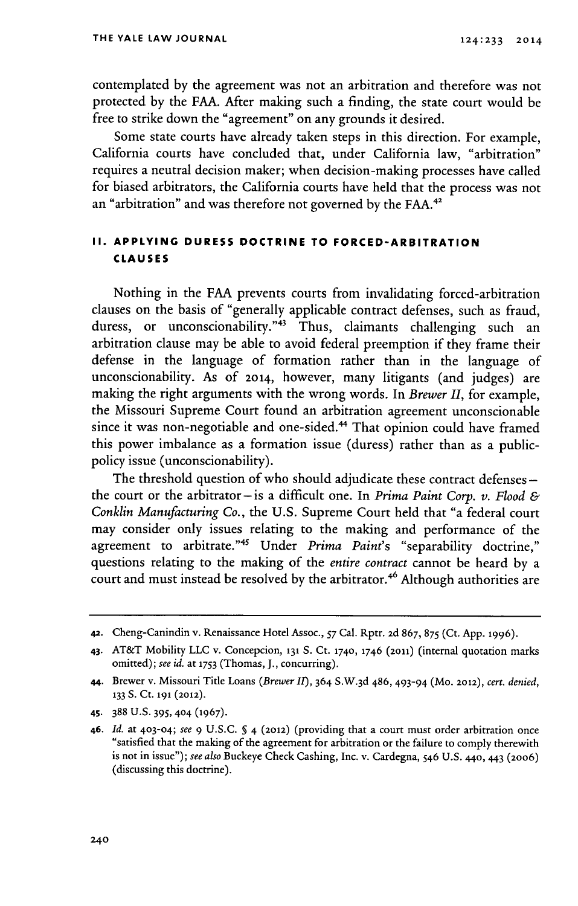contemplated by the agreement was not an arbitration and therefore was not protected by the FAA. After making such a finding, the state court would be free to strike down the "agreement" on any grounds it desired.

Some state courts have already taken steps in this direction. For example, California courts have concluded that, under California law, "arbitration" requires a neutral decision maker; when decision-making processes have called for biased arbitrators, the California courts have held that the process was not an "arbitration" and was therefore not governed by the **FAA.'**

### **II. APPLYING DURESS DOCTRINE TO FORCED-ARBITRATION CLAUSES**

Nothing in the FAA prevents courts from invalidating forced-arbitration clauses on the basis of "generally applicable contract defenses, such as fraud, duress, or unconscionability."<sup>43</sup> Thus, claimants challenging such an arbitration clause may be able to avoid federal preemption if they frame their defense in the language of formation rather than in the language of unconscionability. As of 2014, however, many litigants (and judges) are making the right arguments with the wrong words. In *Brewer II,* for example, the Missouri Supreme Court found an arbitration agreement unconscionable since it was non-negotiable and one-sided.<sup>44</sup> That opinion could have framed this power imbalance as a formation issue (duress) rather than as a publicpolicy issue (unconscionability).

The threshold question of who should adjudicate these contract defenses  the court or the arbitrator-is a difficult one. In *Prima Paint Corp. v. Flood & Conklin Manufacturing* Co., the U.S. Supreme Court held that "a federal court may consider only issues relating to the making and performance of the agreement to arbitrate."<sup>45</sup> Under *Prima Paint's* "separability doctrine," questions relating to the making of the *entire contract* cannot be heard by a court and must instead be resolved by the arbitrator.<sup>46</sup> Although authorities are

**<sup>42.</sup>** Cheng-Canindin v. Renaissance Hotel Assoc., 57 Cal. Rptr. 2d 867, 875 (Ct. App. 1996).

<sup>43.</sup> AT&T Mobility LLC v. Concepcion, **131** S. Ct. 1740, 1746 (2011) (internal quotation marks omitted); see *id.* at **1753** (Thomas, J., concurring).

<sup>44.</sup> Brewer v. Missouri Title Loans *(Brewer II),* 364 S.W.3 d 486,493-94 (Mo. 2012), *cert. denied,* **<sup>133</sup>S.** Ct. **191** (2012).

<sup>45.</sup> **388** U.S. 395, **404** (1967).

<sup>46.</sup> *Id.* at 403-04; *see 9* U.S.C. § 4 (2012) (providing that a court must order arbitration once "satisfied that the making of the agreement for arbitration or the failure to comply therewith is not in issue"); *see also* Buckeye Check Cashing, Inc. v. Cardegna, 546 U.S. 44o, 443 (2006) (discussing this doctrine).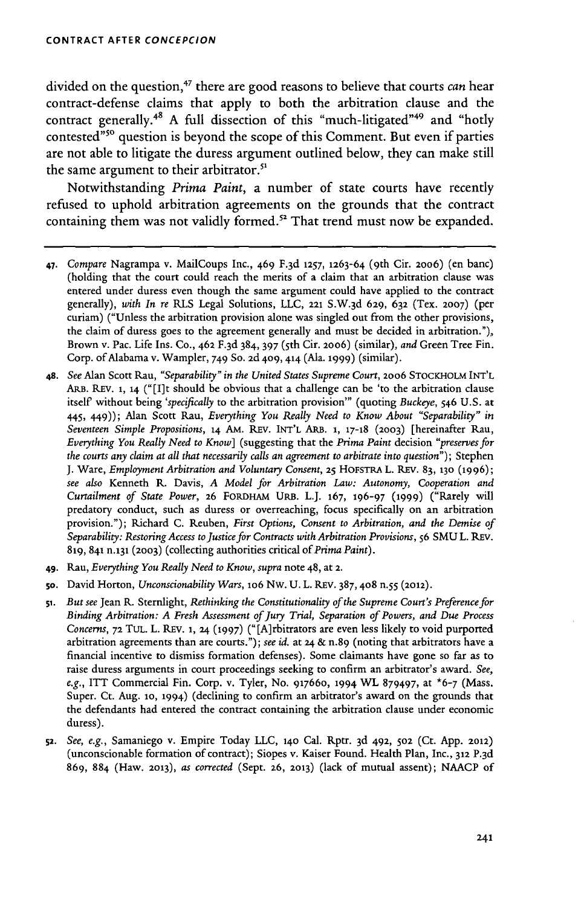divided on the question,<sup>47</sup> there are good reasons to believe that courts *can* hear contract-defense claims that apply to both the arbitration clause and the contract generally.<sup>48</sup> A full dissection of this "much-litigated"<sup>49</sup> and "hotly contested<sup>"50</sup> question is beyond the scope of this Comment. But even if parties are not able to litigate the duress argument outlined below, they can make still the same argument to their arbitrator.<sup>51</sup>

Notwithstanding *Prima Paint,* a number of state courts have recently refused to uphold arbitration agreements on the grounds that the contract containing them was not validly formed.<sup>52</sup> That trend must now be expanded.

- **47.** *Compare* Nagrampa v. MailCoups Inc., 469 F. 3d **1257, 1263-64** (9 th Cit. **2006)** (en banc) (holding that the court could reach the merits of a claim that an arbitration clause was entered under duress even though the same argument could have applied to the contract generally), *with In re* RLS Legal Solutions, LLC, **221** S.W. 3d **629, 632** (Tex. **2007)** (per curiam) ("Unless the arbitration provision alone was singled out from the other provisions, the claim of duress goes to the agreement generally and must be decided in arbitration."), Brown v. Pac. Life Ins. Co., **462** F.3d 384, 397 (5th Cit. **20o6)** (similar), *and* Green Tree Fin. Corp. of Alabama v. Wampler, 749 **So. 2d** 409, **414** (Ala. 1999) (similar).
- **48.** *See* Alan Scott Rau, *"Separability" in the United States Supreme Court,* **2006** STOCKHOLM INT'L **ARB.** REV. **1,** 14 ("[I]t should be obvious that a challenge can be 'to the arbitration clause itself" without being *'specifically* to the arbitration provision"' (quoting *Buckeye,* 546 U.S. at 445, 449)); Alan Scott Rau, *Everything You Really Need to Know About "Separability" in Seventeen Simple Propositions,* 14 *AM.* REV. INT'L ARB. **1, 17-18 (2003)** [hereinafter Rau, *Everything You Really Need to Know]* (suggesting that the *Prima Paint* decision *"preserves for the courts any claim at all that necessarily calls an agreement to arbitrate into question");* Stephen J. Ware, *Employment Arbitration and Voluntary Consent,* **25** HOFSTRA L. REv. 83, **130 (1996);** *see also* Kenneth R. Davis, *A Model for Arbitration Law: Autonomy, Cooperation and Curtailment of State Power,* **26** FoRDHAM URB. L.J. **167, 196-97 (1999)** ("Rarely will predatory conduct, such as duress or overreaching, focus specifically on an arbitration provision."); Richard C. Reuben, *First Options, Consent to Arbitration, and the Demise of Separability: Restoring Access to Justice for Contracts with Arbitration Provisions,* **56** SMU L. REv. 819, 841 n.131 **(2003)** (collecting authorities critical of *Prima Paint).*
- **49.** Rau, *Everything You Really Need to Know, supra* note 48, at **2.**
- **so.** David Horton, *Unconscionability Wars,* **io6** Nw. U. L. REV. 387, **408** n.55 **(2012).**
- **51.** *But see* Jean R. Sternlight, *Rethinking the Constitutionality of the Supreme Court's Preference for Binding Arbitration: A Fresh Assessment of Jury Trial, Separation of Powers, and Due Process Concerns,* **72 TUL.** L. REv. **1, <sup>24</sup>**(1997) ("[A]rbitrators are even less likely to void purported arbitration agreements than are courts."); *see id.* at 24 & n.89 (noting that arbitrators have a financial incentive to dismiss formation defenses). Some claimants have gone so far as to raise duress arguments in court proceedings seeking to confirm an arbitrator's award. *See, e.g.,* ITT Commercial Fin. Corp. v. Tyler, No. 917660, 1994 WL 879497, at **\*6-7** (Mass. Super. Ct. Aug. 10, 1994) (declining to confirm an arbitrator's award on the grounds that the defendants had entered the contract containing the arbitration clause under economic duress).
- **52.** *See, e.g.,* Samaniego v. Empire Today LLC, **140** Cal. Rptr. 3d 492, **502** (Ct. App. **2012)** (unconscionable formation of contract); Siopes v. Kaiser Found. Health Plan, Inc., **312** P.3d 869, 884 (Haw. **2013),** *as corrected* (Sept. **26, 2013)** (lack of mutual assent); NAACP of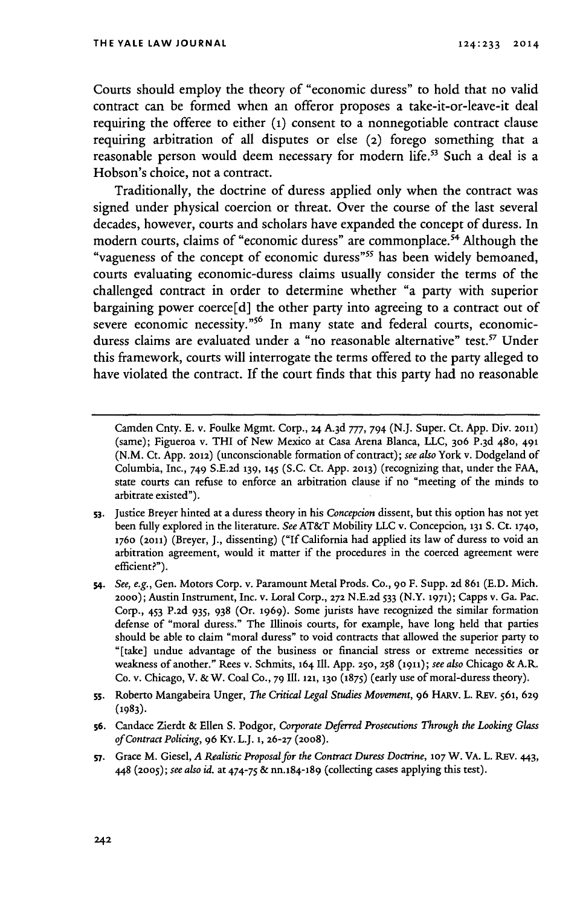Courts should employ the theory of "economic duress" to hold that no valid contract can be formed when an offeror proposes a take-it-or-leave-it deal requiring the offeree to either **(i)** consent to a nonnegotiable contract clause requiring arbitration of all disputes or else **(2)** forego something that a reasonable person would deem necessary for modern life.<sup>53</sup> Such a deal is a Hobson's choice, not a contract.

Traditionally, the doctrine of duress applied only when the contract was signed under physical coercion or threat. Over the course of the last several decades, however, courts and scholars have expanded the concept of duress. In modern courts, claims of "economic duress" are commonplace.<sup>54</sup> Although the "vagueness of the concept of economic duress"<sup>55</sup> has been widely bemoaned, courts evaluating economic-duress claims usually consider the terms of the challenged contract in order to determine whether "a party with superior bargaining power coerce[d] the other party into agreeing to a contract out of severe economic necessity."<sup>56</sup> In many state and federal courts, economicduress claims are evaluated under a "no reasonable alternative" test.<sup>57</sup> Under this framework, courts will interrogate the terms offered to the party alleged to have violated the contract. If the court finds that this party had no reasonable

Camden Cnty. **E.** v. Foulke Mgmt. Corp., **24** A.3d *777, 794* (N.J. Super. Ct. App. Div. **2011)** (same); Figueroa v. THI of New Mexico at Casa Arena Blanca, LLC, **306** P.3d 480, **491** (N.M. Ct. App. **2012)** (unconscionable formation of contract); see also York v. Dodgeland of Columbia, Inc., 749 S.E.2d **139, 145 (S.C.** Ct. App. **2013)** (recognizing that, under the FAA, state courts can refuse to enforce an arbitration clause if no "meeting of the minds to arbitrate existed").

**s3.** Justice Breyer hinted at a duress theory in his *Concepcion* dissent, but this option has not yet been fully explored in the literature. *See* AT&T Mobility LLC v. Concepcion, **131 S.** Ct. **1740,** 176o (2011) (Breyer, J., dissenting) ("If California had applied its law of duress to void an arbitration agreement, would it matter if the procedures in the coerced agreement were efficient?").

**<sup>54.</sup>** *See, e.g.,* Gen. Motors Corp. v. Paramount Metal Prods. Co., **90** F. Supp. **2d 861** (E.D. Mich. 2000); Austin Instrument, Inc. v. Loral Corp., **272** N.E.2d *533* (N.Y. **1971);** Capps v. Ga. Pac. Corp., 453 P.2d 935, 938 (Or. **1969).** Some jurists have recognized the similar formation defense of "moral duress." The Illinois courts, for example, have long held that parties should be able to claim "moral duress" to void contracts that allowed the superior party to "[take] undue advantage of the business or financial stress or extreme necessities or weakness of another." Rees v. Schmits, **164** Il. App. **250,** 258 (1911); *see also* Chicago & A.R. Co. v. Chicago, V. &W. Coal Co., 79 Ili. **121, 130** (1875) (early use of moral-duress theory).

**<sup>55.</sup>** Roberto Mangabeira Unger, *The Critical Legal Studies Movement,* 96 HARv. L. REv. 561, **629 (1983).**

**S6.** Candace Zierdt & Ellen S. Podgor, *Corporate Deferred Prosecutions Through the Looking Glass of Contract Policing,* 96 Ky. L.J. **1, 26-27** (2008).

**<sup>57.</sup>** Grace M. Giesel, *A Realistic Proposal for the Contract Duress Doctrine, 107* W. VA. L. **REv.** 443, 448 **(2005);** *see also id.* at *474-75* & nn.184-189 (collecting cases applying this test).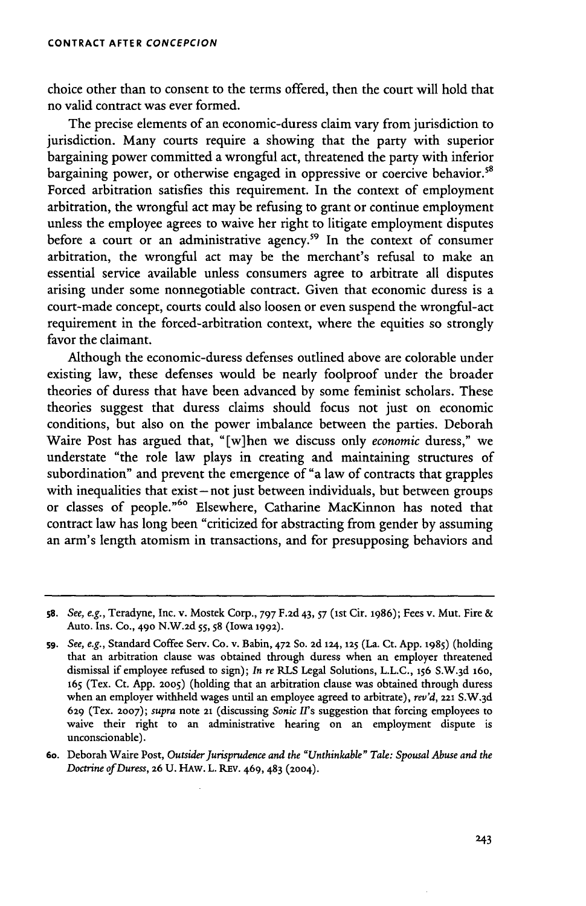choice other than to consent to the terms offered, then the court will hold that no valid contract was ever formed.

The precise elements of an economic-duress claim vary from jurisdiction to jurisdiction. Many courts require a showing that the party with superior bargaining power committed a wrongful act, threatened the party with inferior bargaining power, or otherwise engaged in oppressive or coercive behavior.<sup>58</sup> Forced arbitration satisfies this requirement. In the context of employment arbitration, the wrongful act may be refusing to grant or continue employment unless the employee agrees to waive her right to litigate employment disputes before a court or an administrative agency.<sup>59</sup> In the context of consumer arbitration, the wrongful act may be the merchant's refusal to make an essential service available unless consumers agree to arbitrate all disputes arising under some nonnegotiable contract. Given that economic duress is a court-made concept, courts could also loosen or even suspend the wrongful-act requirement in the forced-arbitration context, where the equities so strongly favor the claimant.

Although the economic-duress defenses outlined above are colorable under existing law, these defenses would be nearly foolproof under the broader theories of duress that have been advanced by some feminist scholars. These theories suggest that duress claims should focus not just on economic conditions, but also on the power imbalance between the parties. Deborah Waire Post has argued that, "[w]hen we discuss only *economic* duress," we understate "the role law plays in creating and maintaining structures of subordination" and prevent the emergence of "a law of contracts that grapples with inequalities that exist-not just between individuals, but between groups or classes of people."<sup>60</sup> Elsewhere, Catharine MacKinnon has noted that contract law has long been "criticized for abstracting from gender by assuming an arm's length atomism in transactions, and for presupposing behaviors and

s8. *See, e.g.,* Teradyne, Inc. v. Mostek Corp., *797* F.2d 43, *57* (Ist Cir. **1986);** Fees v. Mut. Fire **&** Auto. Ins. Co., **490** N.W.2d 55 , **58** (Iowa 1992).

**<sup>5</sup>g.** *See, e.g.,* Standard Coffee Serv. Co. v. Babin, **472 So. 2d 124,** 125 (La. Ct. App. 1985) (holding that an arbitration clause was obtained through duress when an employer threatened dismissal if employee refused to sign); *In re* RLS Legal Solutions, **L.L.C., 156** S.W.3d 16o, **<sup>165</sup>**(Tex. Ct. App. **2005)** (holding that an arbitration clause was obtained through duress when an employer withheld wages until an employee agreed to arbitrate), *rev'd,* **221** S.W. 3d **629** (Tex. **2007);** *supra* note **21** (discussing *Sonic Irs* suggestion that forcing employees to waive their right to an administrative hearing on an employment dispute is unconscionable).

*<sup>6</sup>o.* Deborah Waire Post, *Outsider Jurisprudence and the "Unthinkable" Tale: Spousal Abuse and the Doctrine of Duress, 26 U. HAW. L. REV. 469, 483 (2004).*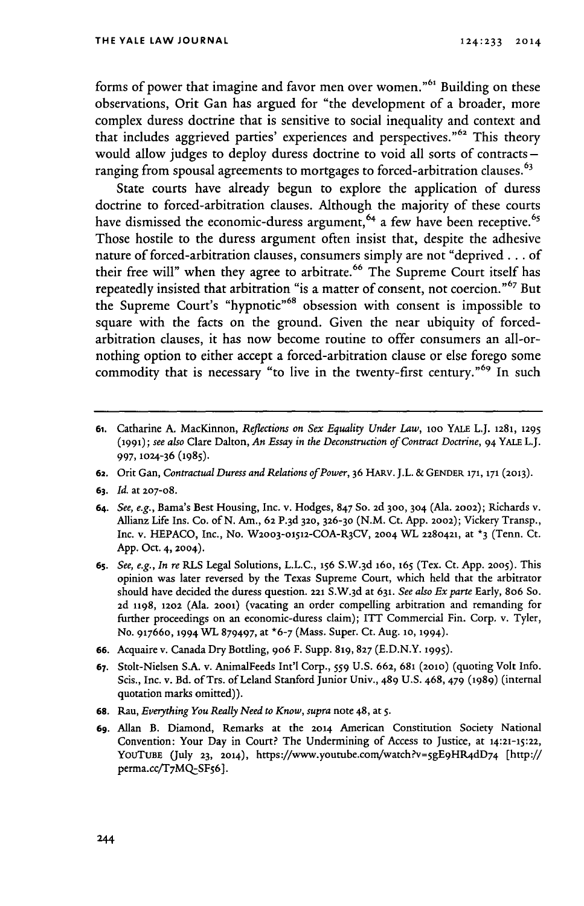forms of power that imagine and favor men over women."<sup>61</sup> Building on these observations, Orit Gan has argued for "the development of a broader, more complex duress doctrine that is sensitive to social inequality and context and that includes aggrieved parties' experiences and perspectives."<sup>62</sup> This theory would allow judges to deploy duress doctrine to void all sorts of contracts  ranging from spousal agreements to mortgages to forced-arbitration clauses.  $63$ 

State courts have already begun to explore the application of duress doctrine to forced-arbitration clauses. Although the majority of these courts have dismissed the economic-duress argument,  $64$  a few have been receptive.  $65$ Those hostile to the duress argument often insist that, despite the adhesive nature of forced-arbitration clauses, consumers simply are not "deprived **...** of their free will" when they agree to arbitrate.<sup>66</sup> The Supreme Court itself has repeatedly insisted that arbitration "is a matter of consent, not coercion."<sup>67</sup> Bu the Supreme Court's "hypnotic"<sup>68</sup> obsession with consent is impossible to square with the facts on the ground. Given the near ubiquity of forcedarbitration clauses, it has now become routine to offer consumers an all-ornothing option to either accept a forced-arbitration clause or else forego some commodity that is necessary "to live in the twenty-first century."<sup>69</sup> In such

- 61. Catharine A. MacKinnon, *Reflections on Sex Equality Under Law,* loo YALE L.J. **1281, 1295 (1991);** *see also* Clare Dalton, *An Essay in the Deconstruction of Contract Doctrine,* 94 YALE L.J. 997, **1024-36** (1985).
- **62.** Orit Gan, *Contractual Duress and Relations of Power,* 36 HARv. J.L. & **GENDER 171, 171 (2013).**
- *63. Id.* at 207-08.
- **64.** *See, e.g.,* Bama's Best Housing, Inc. v. Hodges, 847 So. **2d 300, 304** (Ala. **2002);** Richards v. Allianz Life Ins. Co. of N. Am., **62** P. 3d 32o, **326-30** (N.M. Ct. App. 2002); Vickery Transp., Inc. v. HEPACO, Inc., No. W2003-01512-COA-R3CV, 2004 WL 2280421, at <sup>\*</sup>3 (Tenn. Ct. App. Oct. 4, 2004).
- **65.** *See, e.g., In re* RLS Legal Solutions, L.L.C., **156** S.W.3d 16o, **165** (Tex. Ct. App. **2005).** This opinion was later reversed **by** the Texas Supreme Court, which held that the arbitrator should have decided the duress question. **221** S.W.3d at **631.** *See also Ex* parte Early, 8o6 So. **2d** 1198, **1202** (Ala. **2001)** (vacating an order compelling arbitration and remanding for further proceedings on an economic-duress claim); ITT Commercial Fin. Corp. v. Tyler, No. 91766o, 1994 WL 879497, at \*6-7 (Mass. Super. Ct. Aug. **1o,** 1994).
- **66.** Acquaire v. Canada Dry Bottling, **906** F. Supp. **819, 827** (E.D.N.Y. **1995).**
- **67.** Stolt-Nielsen S.A. v. AnimalFeeds Int'l Corp., *559* U.S. **662,** 681 **(2010)** (quoting Volt Info. Scis., Inc. v. Bd. of Trs. of Leland Stanford Junior Univ., 489 U.S. 468, 479 **(1989)** (internal quotation marks omitted)).
- **68.** Rau, *Everything You Really Need to Know, supra* note 48, at *s.*
- **69.** Allan B. Diamond, Remarks at the **2014** American Constitution Society National Convention: Your Day in Court? The Undermining of Access to Justice, at 14:21-15:22, YOUTUBE (July 23, 2014), https://www.youtube.com/watch?v=5gE9HR4dD74 [http:// perma.cc/T7MQ-SF56].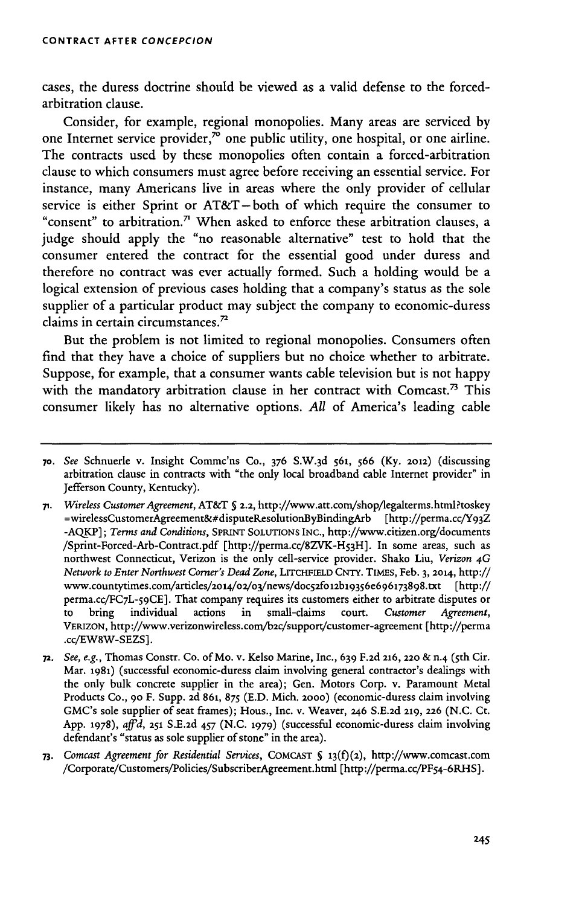cases, the duress doctrine should be viewed as a valid defense to the forcedarbitration clause.

Consider, for example, regional monopolies. Many areas are serviced by one Internet service provider, $7^{\circ}$  one public utility, one hospital, or one airline. The contracts used by these monopolies often contain a forced-arbitration clause to which consumers must agree before receiving an essential service. For instance, many Americans live in areas where the only provider of cellular service is either Sprint or AT&T-both of which require the consumer to "consent" to arbitration.<sup>7</sup> When asked to enforce these arbitration clauses, a judge should apply the "no reasonable alternative" test to hold that the consumer entered the contract for the essential good under duress and therefore no contract was ever actually formed. Such a holding would be a logical extension of previous cases holding that a company's status as the sole supplier of a particular product may subject the company to economic-duress claims in certain circumstances.<sup>72</sup>

But the problem is not limited to regional monopolies. Consumers often find that they have a choice of suppliers but no choice whether to arbitrate. Suppose, for example, that a consumer wants cable television but is not happy with the mandatory arbitration clause in her contract with Comcast.<sup>73</sup> This consumer likely has no alternative options. *All* of America's leading cable

**<sup>70.</sup>** *See* Schnuerle v. Insight Commc'ns Co., **376** S.W. 3d 561, 566 (Ky. **2012)** (discussing arbitration clause in contracts with "the only local broadband cable Internet provider" in Jefferson County, Kentucky).

*<sup>71.</sup> Wireless Customer Agreement,* AT&T **§** 2.2, http://www.att.com/shop/legalterms.html?toskey =wirelessCustomerAgreement&#disputeResolutionByBindingArb [http ://perma.cc/Y93Z -AQKP]; *Terms and Conditions,* SPRINT **SOLUTIONS** INC., http://www.citizen.org/documents /Sprint-Forced-Arb-Contract.pdf [http://perma.cc/8ZVK-H53H]. In some areas, such as northwest Connecticut, Verizon is the only cell-service provider. Shako Liu, *Verizon 4G Network to Enter Northwest Corner's Dead Zone,* LITCHFIELD CNTY. TIMEs, Feb. 3, 2014, http:// www.countytimes.com/articles/2o14/o2/o3/news/doc52fo12b19356e696173898.txt [http:// perma.cc/FC7L-59CE]. That company requires its customers either to arbitrate disputes or to bring individual actions in small-claims court. *Customer Agreement,* VERIZON, http://www.verizonwireless.com/b2c/support/customer-agreement [http://perma .cc/EW8W-SEZS].

**<sup>72.</sup>** *See, e.g.,* Thomas Constr. Co. ofMo. v. Kelso Marine, Inc., 639 **F.2d 216, 220** & n.4 (5th Cir. Mar. **1981)** (successful economic-duress claim involving general contractor's dealings with the only bulk concrete supplier in the area); Gen. Motors Corp. v. Paramount Metal Products Co., **90** F. Supp. 2d **861,** 875 (E.D. Mich. **2000)** (economic-duress claim involving GMC's sole supplier of seat frames); Hous., Inc. v. Weaver, **246** S.E.2d 219, **226** (N.C. Ct. App. **1978),** *affd,* **251** S.E.2d 457 (N.C. **1979)** (successful economic-duress claim involving defendant's "status as sole supplier of stone" in the area).

**<sup>73.</sup>** *Comcast Agreement for Residential Services,* COMCAST § **13(f)(2),** http://www.comcast.com /Corporate/Customers/Policies/SubscriberAgreement.html [http://perma.cc/PF54-6RHS].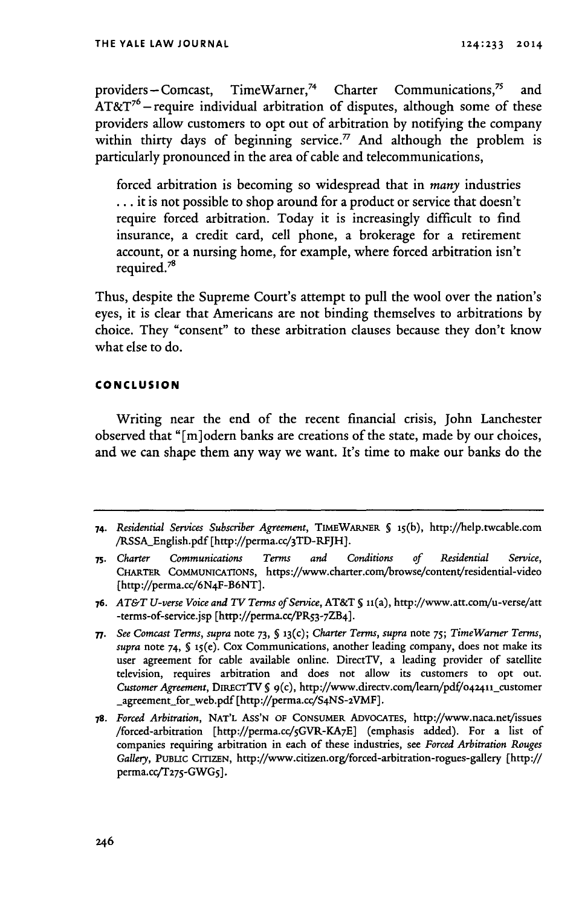providers - Comcast, TimeWarner,<sup>74</sup> Charter Communications,<sup>75</sup> and  $AT\&T^{6}$  – require individual arbitration of disputes, although some of these providers allow customers to opt out of arbitration **by** notifying the company within thirty days of beginning service.<sup>77</sup> And although the problem is particularly pronounced in the area of cable and telecommunications,

forced arbitration is becoming so widespread that in *many* industries **... it** is not possible to shop around for a product or service that doesn't require forced arbitration. Today it is increasingly difficult to find insurance, a credit card, cell phone, a brokerage for a retirement account, or a nursing home, for example, where forced arbitration isn't required.78

Thus, despite the Supreme Court's attempt to pull the wool over the nation's eyes, it is clear that Americans are not binding themselves to arbitrations **by** choice. They "consent" to these arbitration clauses because they don't know what else to do.

#### **CONCLUSION**

Writing near the end of the recent financial crisis, John Lanchester observed that **"[m]odern** banks are creations of the state, made **by** our choices, and we can shape them any way we want. It's time to make our banks do the

**<sup>74.</sup>** *Residential Services Subscriber Agreement,* **TIMEWARNER § 15(b),** http://help.twcable.com /RSSA\_English.pdf [http://perma.cc/3TD-RFJH].

**<sup>75.</sup>** *Charter Communications Terms and Conditions of Residential Service,* **CHARTER COMMUNICATIONS,** https://www.charter.com/browse/content/residential-video [http://perma.cc/6N4F-B6NT].

*<sup>76.</sup> AT&T U-verse Voice and TV Terms of Service,* AT&T **5** u(a), http://www.att.com/u-verse/att -terms-of-service.jsp [http://perma.cc/PR53-7ZB4].

*<sup>7.</sup> See Comcast Terms, supra* note **73, § 13(c);** *Charter Terms, supra* note *75; TimeWarner Terms, supra* note *74,* **§** i5(e). Cox Communications, another leading company, does not make its user agreement for cable available online. DirectTV, a leading provider of satellite television, requires arbitration and does not allow its customers to opt out. *Customer Agreement, DIRECTTV § 9(c), http://www.directv.com/learn/pdf/042411\_customer* -agreement **for** web.pdf [http://perma.cc/S4NS-ZVMF].

*<sup>78.</sup> Forced Arbitration,* **NAT'L Ass'N OF CONSUMER ADVOCATES,** http://www.naca.net/issues /forced-arbitration [http://perma.cc/GVR-KA7E] (emphasis added). For a list of companies requiring arbitration in each of these industries, see *Forced Arbitration Rouges Gallery, PUBLIC* **CITIZEN,** http://www.citizen.org/forced-arbitration-rogues-gallery [http:// perma.cc'T275-GWG5].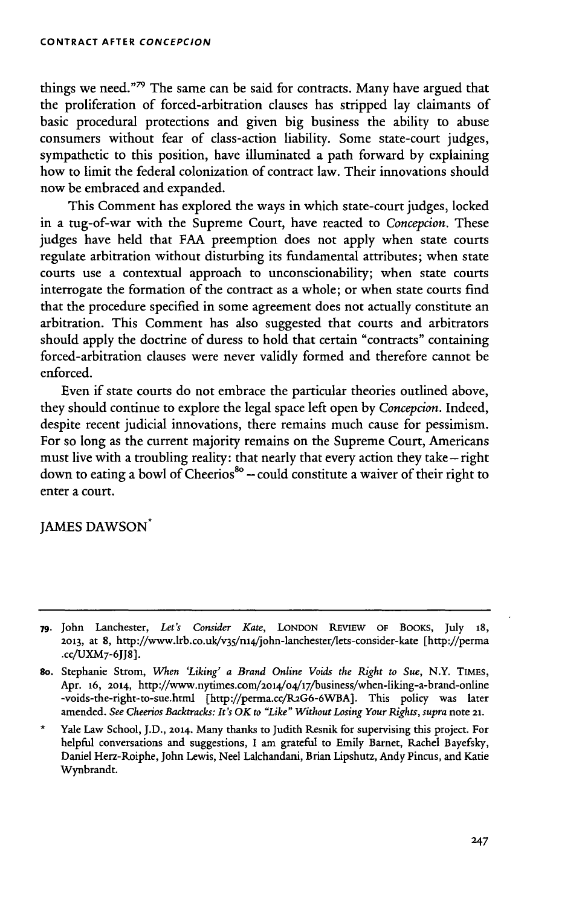things we need."<sup>79</sup> The same can be said for contracts. Many have argued that the proliferation of forced-arbitration clauses has stripped lay claimants of basic procedural protections and given big business the ability to abuse consumers without fear of class-action liability. Some state-court judges, sympathetic to this position, have illuminated a path forward by explaining how to limit the federal colonization of contract law. Their innovations should now be embraced and expanded.

This Comment has explored the ways in which state-court judges, locked in a tug-of-war with the Supreme Court, have reacted to *Concepcion.* These judges have held that **FAA** preemption does not apply when state courts regulate arbitration without disturbing its fundamental attributes; when state courts use a contextual approach to unconscionability; when state courts interrogate the formation of the contract as a whole; or when state courts find that the procedure specified in some agreement does not actually constitute an arbitration. This Comment has also suggested that courts and arbitrators should apply the doctrine of duress to hold that certain "contracts" containing forced-arbitration clauses were never validly formed and therefore cannot be enforced.

Even if state courts do not embrace the particular theories outlined above, they should continue to explore the legal space left open by *Concepcion.* Indeed, despite recent judicial innovations, there remains much cause for pessimism. For so long as the current majority remains on the Supreme Court, Americans must live with a troubling reality: that nearly that every action they take **-** right down to eating a bowl of Cheerios<sup>80</sup> – could constitute a waiver of their right to enter a court.

JAMES DAWSON.

\* Yale Law School, J.D., **2014.** Many thanks to Judith Resnik for supervising this project. For helpful conversations and suggestions, I am grateful to Emily Barnet, Rachel Bayefsky, Daniel Herz-Roiphe, John Lewis, Neel Lalchandani, Brian Lipshutz, Andy Pincus, and Katie Wynbrandt.

**<sup>79.</sup>** John Lanchester, *Let's Consider Kate,* **LONDON** REVIEW **OF** BOOKS, July 18, **2013,** at 8, http://www.lrb.co.uk/v35/ni4/john-lanchester/lets-consider-kate [http://perma .cc/UXM7-6JJ8].

so. Stephanie Strom, *When 'Liking' a Brand Online Voids the Right to Sue,* N.Y. TIMES, Apr. **16,** 2014, http://www.nytimes.com/2ol4/o4/i7/business/when-liking-a-brand-online -voids-the-right-to-sue.html [http://perma.cc/R2G6-6WBA]. This policy was later amended. See Cheerios Backtracks: It's OK to "Like" Without Losing Your Rights, supra note 21.